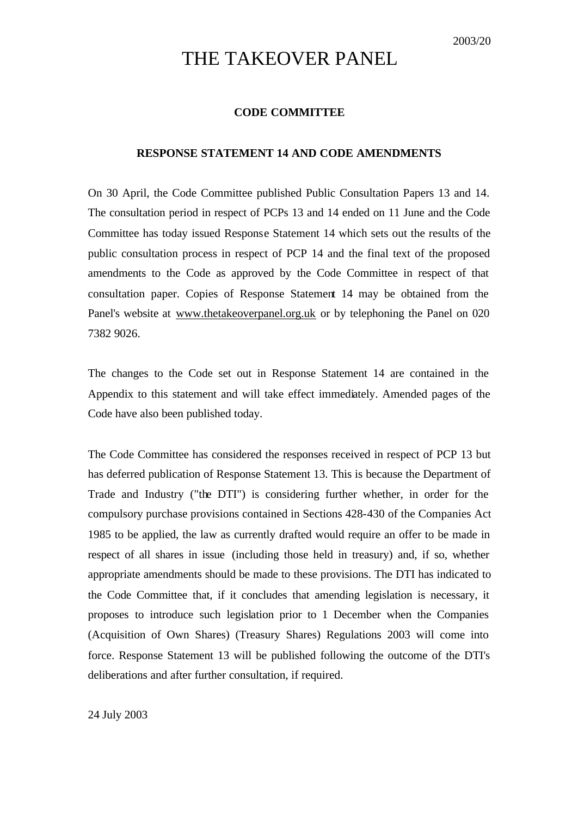# THE TAKEOVER PANEL

# **CODE COMMITTEE**

### **RESPONSE STATEMENT 14 AND CODE AMENDMENTS**

On 30 April, the Code Committee published Public Consultation Papers 13 and 14. The consultation period in respect of PCPs 13 and 14 ended on 11 June and the Code Committee has today issued Response Statement 14 which sets out the results of the public consultation process in respect of PCP 14 and the final text of the proposed amendments to the Code as approved by the Code Committee in respect of that consultation paper. Copies of Response Statement 14 may be obtained from the Panel's website at www.thetakeoverpanel.org.uk or by telephoning the Panel on 020 7382 9026.

The changes to the Code set out in Response Statement 14 are contained in the Appendix to this statement and will take effect immediately. Amended pages of the Code have also been published today.

The Code Committee has considered the responses received in respect of PCP 13 but has deferred publication of Response Statement 13. This is because the Department of Trade and Industry ("the DTI") is considering further whether, in order for the compulsory purchase provisions contained in Sections 428-430 of the Companies Act 1985 to be applied, the law as currently drafted would require an offer to be made in respect of all shares in issue (including those held in treasury) and, if so, whether appropriate amendments should be made to these provisions. The DTI has indicated to the Code Committee that, if it concludes that amending legislation is necessary, it proposes to introduce such legislation prior to 1 December when the Companies (Acquisition of Own Shares) (Treasury Shares) Regulations 2003 will come into force. Response Statement 13 will be published following the outcome of the DTI's deliberations and after further consultation, if required.

24 July 2003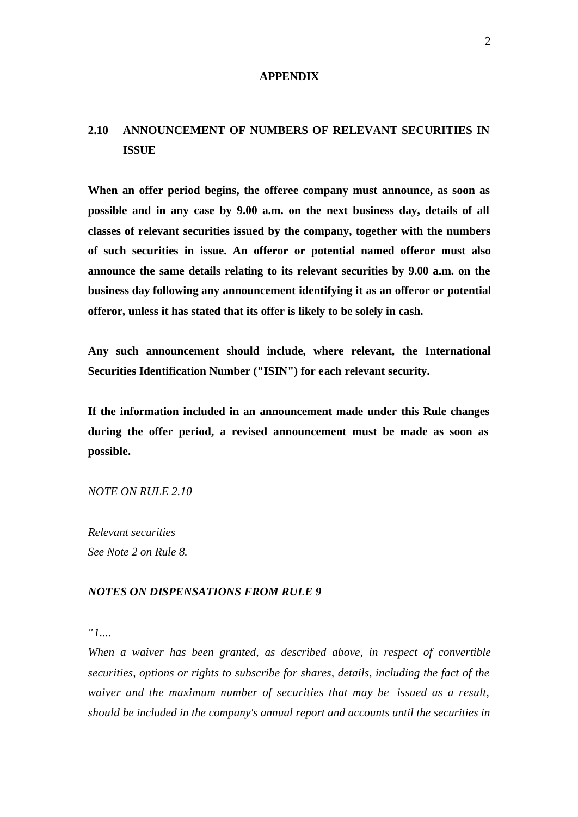#### **APPENDIX**

# **2.10 ANNOUNCEMENT OF NUMBERS OF RELEVANT SECURITIES IN ISSUE**

**When an offer period begins, the offeree company must announce, as soon as possible and in any case by 9.00 a.m. on the next business day, details of all classes of relevant securities issued by the company, together with the numbers of such securities in issue. An offeror or potential named offeror must also announce the same details relating to its relevant securities by 9.00 a.m. on the business day following any announcement identifying it as an offeror or potential offeror, unless it has stated that its offer is likely to be solely in cash.**

**Any such announcement should include, where relevant, the International Securities Identification Number ("ISIN") for each relevant security.**

**If the information included in an announcement made under this Rule changes during the offer period, a revised announcement must be made as soon as possible.**

#### *NOTE ON RULE 2.10*

*Relevant securities See Note 2 on Rule 8.*

# *NOTES ON DISPENSATIONS FROM RULE 9*

*"1....*

*When a waiver has been granted, as described above, in respect of convertible securities, options or rights to subscribe for shares, details, including the fact of the waiver and the maximum number of securities that may be issued as a result, should be included in the company's annual report and accounts until the securities in*